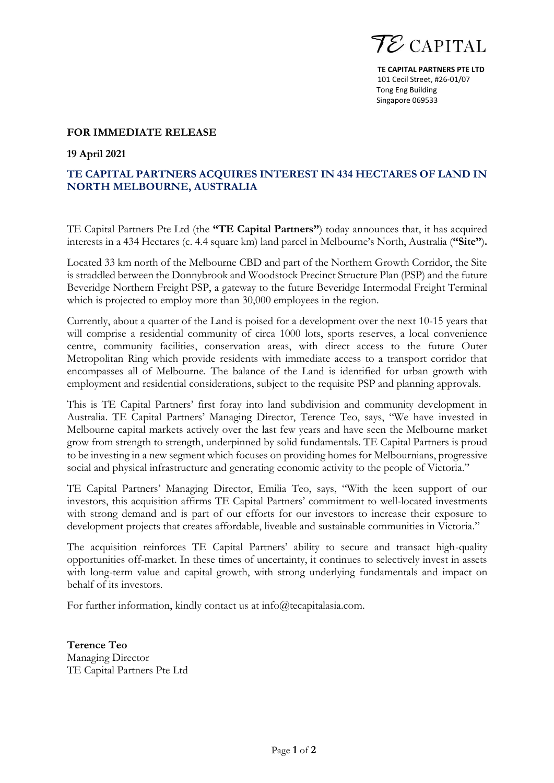

**TE CAPITAL PARTNERS PTE LTD** 101 Cecil Street, #26-01/07 Tong Eng Building Singapore 069533

## **FOR IMMEDIATE RELEASE**

**19 April 2021**

## **TE CAPITAL PARTNERS ACQUIRES INTEREST IN 434 HECTARES OF LAND IN NORTH MELBOURNE, AUSTRALIA**

TE Capital Partners Pte Ltd (the **"TE Capital Partners"**) today announces that, it has acquired interests in a 434 Hectares (c. 4.4 square km) land parcel in Melbourne's North, Australia (**"Site"**)**.**

Located 33 km north of the Melbourne CBD and part of the Northern Growth Corridor, the Site is straddled between the Donnybrook and Woodstock Precinct Structure Plan (PSP) and the future Beveridge Northern Freight PSP, a gateway to the future Beveridge Intermodal Freight Terminal which is projected to employ more than 30,000 employees in the region.

Currently, about a quarter of the Land is poised for a development over the next 10-15 years that will comprise a residential community of circa 1000 lots, sports reserves, a local convenience centre, community facilities, conservation areas, with direct access to the future Outer Metropolitan Ring which provide residents with immediate access to a transport corridor that encompasses all of Melbourne. The balance of the Land is identified for urban growth with employment and residential considerations, subject to the requisite PSP and planning approvals.

This is TE Capital Partners' first foray into land subdivision and community development in Australia. TE Capital Partners' Managing Director, Terence Teo, says, "We have invested in Melbourne capital markets actively over the last few years and have seen the Melbourne market grow from strength to strength, underpinned by solid fundamentals. TE Capital Partners is proud to be investing in a new segment which focuses on providing homes for Melbournians, progressive social and physical infrastructure and generating economic activity to the people of Victoria."

TE Capital Partners' Managing Director, Emilia Teo, says, "With the keen support of our investors, this acquisition affirms TE Capital Partners' commitment to well-located investments with strong demand and is part of our efforts for our investors to increase their exposure to development projects that creates affordable, liveable and sustainable communities in Victoria."

The acquisition reinforces TE Capital Partners' ability to secure and transact high-quality opportunities off-market. In these times of uncertainty, it continues to selectively invest in assets with long-term value and capital growth, with strong underlying fundamentals and impact on behalf of its investors.

For further information, kindly contact us at [info@tecapitalasia.com.](mailto:info@tecapitalasia.com)

**Terence Teo** Managing Director TE Capital Partners Pte Ltd